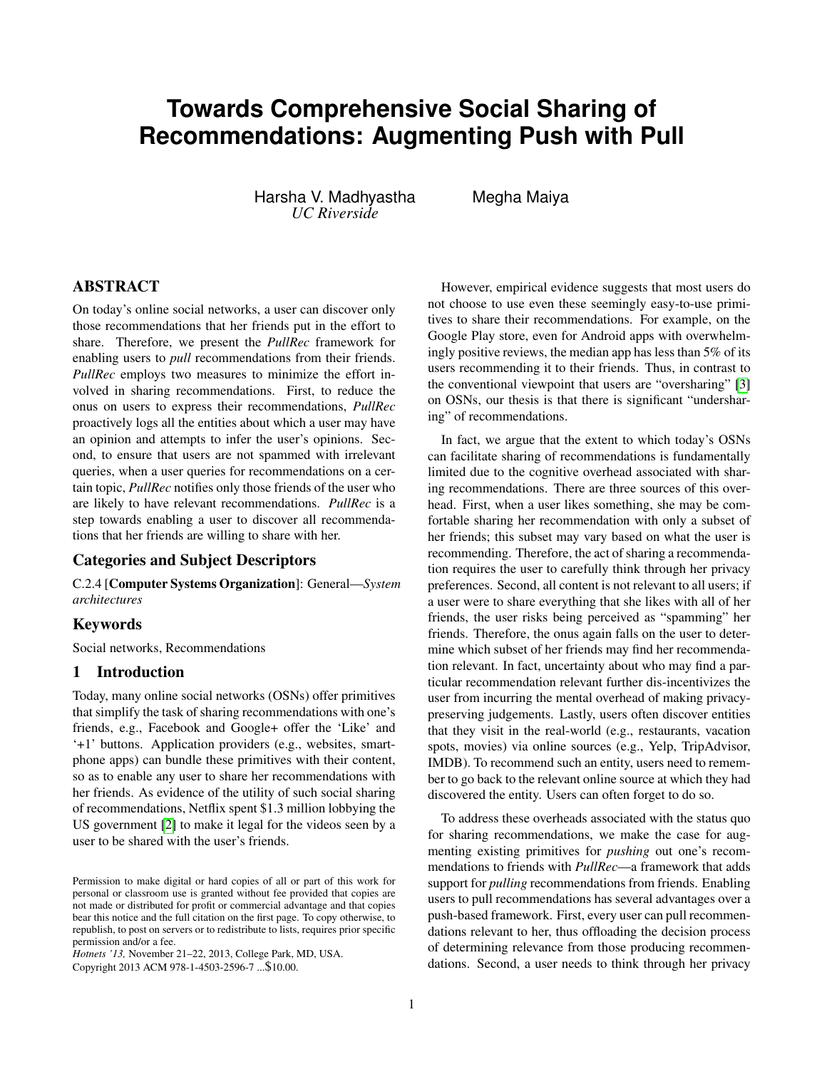# **Towards Comprehensive Social Sharing of Recommendations: Augmenting Push with Pull**

Harsha V. Madhyastha *UC Riverside*

Megha Maiya

# ABSTRACT

On today's online social networks, a user can discover only those recommendations that her friends put in the effort to share. Therefore, we present the *PullRec* framework for enabling users to *pull* recommendations from their friends. *PullRec* employs two measures to minimize the effort involved in sharing recommendations. First, to reduce the onus on users to express their recommendations, *PullRec* proactively logs all the entities about which a user may have an opinion and attempts to infer the user's opinions. Second, to ensure that users are not spammed with irrelevant queries, when a user queries for recommendations on a certain topic, *PullRec* notifies only those friends of the user who are likely to have relevant recommendations. *PullRec* is a step towards enabling a user to discover all recommendations that her friends are willing to share with her.

### Categories and Subject Descriptors

C.2.4 [Computer Systems Organization]: General—*System architectures*

#### Keywords

Social networks, Recommendations

#### 1 Introduction

Today, many online social networks (OSNs) offer primitives that simplify the task of sharing recommendations with one's friends, e.g., Facebook and Google+ offer the 'Like' and '+1' buttons. Application providers (e.g., websites, smartphone apps) can bundle these primitives with their content, so as to enable any user to share her recommendations with her friends. As evidence of the utility of such social sharing of recommendations, Netflix spent \$1.3 million lobbying the US government [\[2\]](#page-6-0) to make it legal for the videos seen by a user to be shared with the user's friends.

*Hotnets '13,* November 21–22, 2013, College Park, MD, USA. Copyright 2013 ACM 978-1-4503-2596-7 ...\$10.00.

However, empirical evidence suggests that most users do not choose to use even these seemingly easy-to-use primitives to share their recommendations. For example, on the Google Play store, even for Android apps with overwhelmingly positive reviews, the median app has less than 5% of its users recommending it to their friends. Thus, in contrast to the conventional viewpoint that users are "oversharing" [\[3\]](#page-6-1) on OSNs, our thesis is that there is significant "undersharing" of recommendations.

In fact, we argue that the extent to which today's OSNs can facilitate sharing of recommendations is fundamentally limited due to the cognitive overhead associated with sharing recommendations. There are three sources of this overhead. First, when a user likes something, she may be comfortable sharing her recommendation with only a subset of her friends; this subset may vary based on what the user is recommending. Therefore, the act of sharing a recommendation requires the user to carefully think through her privacy preferences. Second, all content is not relevant to all users; if a user were to share everything that she likes with all of her friends, the user risks being perceived as "spamming" her friends. Therefore, the onus again falls on the user to determine which subset of her friends may find her recommendation relevant. In fact, uncertainty about who may find a particular recommendation relevant further dis-incentivizes the user from incurring the mental overhead of making privacypreserving judgements. Lastly, users often discover entities that they visit in the real-world (e.g., restaurants, vacation spots, movies) via online sources (e.g., Yelp, TripAdvisor, IMDB). To recommend such an entity, users need to remember to go back to the relevant online source at which they had discovered the entity. Users can often forget to do so.

To address these overheads associated with the status quo for sharing recommendations, we make the case for augmenting existing primitives for *pushing* out one's recommendations to friends with *PullRec*—a framework that adds support for *pulling* recommendations from friends. Enabling users to pull recommendations has several advantages over a push-based framework. First, every user can pull recommendations relevant to her, thus offloading the decision process of determining relevance from those producing recommendations. Second, a user needs to think through her privacy

Permission to make digital or hard copies of all or part of this work for personal or classroom use is granted without fee provided that copies are not made or distributed for profit or commercial advantage and that copies bear this notice and the full citation on the first page. To copy otherwise, to republish, to post on servers or to redistribute to lists, requires prior specific permission and/or a fee.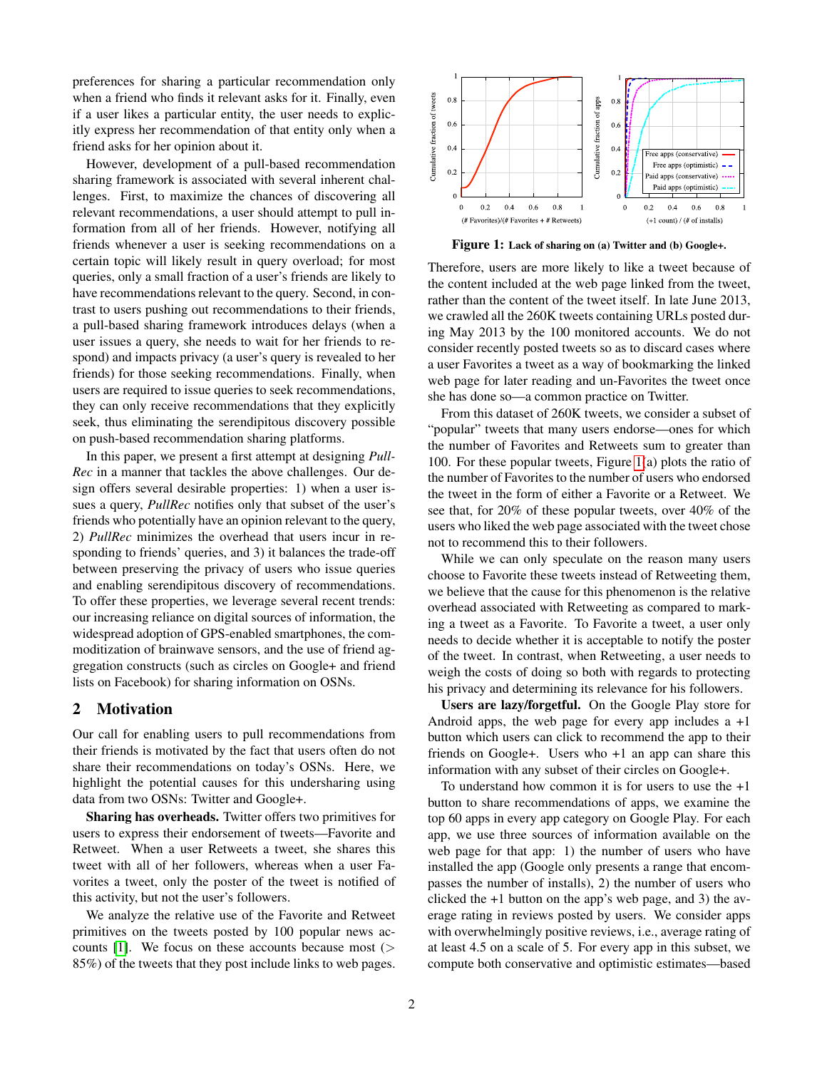preferences for sharing a particular recommendation only when a friend who finds it relevant asks for it. Finally, even if a user likes a particular entity, the user needs to explicitly express her recommendation of that entity only when a friend asks for her opinion about it.

However, development of a pull-based recommendation sharing framework is associated with several inherent challenges. First, to maximize the chances of discovering all relevant recommendations, a user should attempt to pull information from all of her friends. However, notifying all friends whenever a user is seeking recommendations on a certain topic will likely result in query overload; for most queries, only a small fraction of a user's friends are likely to have recommendations relevant to the query. Second, in contrast to users pushing out recommendations to their friends, a pull-based sharing framework introduces delays (when a user issues a query, she needs to wait for her friends to respond) and impacts privacy (a user's query is revealed to her friends) for those seeking recommendations. Finally, when users are required to issue queries to seek recommendations, they can only receive recommendations that they explicitly seek, thus eliminating the serendipitous discovery possible on push-based recommendation sharing platforms.

In this paper, we present a first attempt at designing *Pull-Rec* in a manner that tackles the above challenges. Our design offers several desirable properties: 1) when a user issues a query, *PullRec* notifies only that subset of the user's friends who potentially have an opinion relevant to the query, 2) *PullRec* minimizes the overhead that users incur in responding to friends' queries, and 3) it balances the trade-off between preserving the privacy of users who issue queries and enabling serendipitous discovery of recommendations. To offer these properties, we leverage several recent trends: our increasing reliance on digital sources of information, the widespread adoption of GPS-enabled smartphones, the commoditization of brainwave sensors, and the use of friend aggregation constructs (such as circles on Google+ and friend lists on Facebook) for sharing information on OSNs.

## <span id="page-1-1"></span>2 Motivation

Our call for enabling users to pull recommendations from their friends is motivated by the fact that users often do not share their recommendations on today's OSNs. Here, we highlight the potential causes for this undersharing using data from two OSNs: Twitter and Google+.

Sharing has overheads. Twitter offers two primitives for users to express their endorsement of tweets—Favorite and Retweet. When a user Retweets a tweet, she shares this tweet with all of her followers, whereas when a user Favorites a tweet, only the poster of the tweet is notified of this activity, but not the user's followers.

We analyze the relative use of the Favorite and Retweet primitives on the tweets posted by 100 popular news accounts  $[1]$ . We focus on these accounts because most  $($ 85%) of the tweets that they post include links to web pages.



<span id="page-1-0"></span>Figure 1: Lack of sharing on (a) Twitter and (b) Google+.

Therefore, users are more likely to like a tweet because of the content included at the web page linked from the tweet, rather than the content of the tweet itself. In late June 2013, we crawled all the 260K tweets containing URLs posted during May 2013 by the 100 monitored accounts. We do not consider recently posted tweets so as to discard cases where a user Favorites a tweet as a way of bookmarking the linked web page for later reading and un-Favorites the tweet once she has done so—a common practice on Twitter.

From this dataset of 260K tweets, we consider a subset of "popular" tweets that many users endorse—ones for which the number of Favorites and Retweets sum to greater than 100. For these popular tweets, Figure [1\(](#page-1-0)a) plots the ratio of the number of Favorites to the number of users who endorsed the tweet in the form of either a Favorite or a Retweet. We see that, for 20% of these popular tweets, over 40% of the users who liked the web page associated with the tweet chose not to recommend this to their followers.

While we can only speculate on the reason many users choose to Favorite these tweets instead of Retweeting them, we believe that the cause for this phenomenon is the relative overhead associated with Retweeting as compared to marking a tweet as a Favorite. To Favorite a tweet, a user only needs to decide whether it is acceptable to notify the poster of the tweet. In contrast, when Retweeting, a user needs to weigh the costs of doing so both with regards to protecting his privacy and determining its relevance for his followers.

Users are lazy/forgetful. On the Google Play store for Android apps, the web page for every app includes  $a +1$ button which users can click to recommend the app to their friends on Google+. Users who +1 an app can share this information with any subset of their circles on Google+.

To understand how common it is for users to use the  $+1$ button to share recommendations of apps, we examine the top 60 apps in every app category on Google Play. For each app, we use three sources of information available on the web page for that app: 1) the number of users who have installed the app (Google only presents a range that encompasses the number of installs), 2) the number of users who clicked the +1 button on the app's web page, and 3) the average rating in reviews posted by users. We consider apps with overwhelmingly positive reviews, i.e., average rating of at least 4.5 on a scale of 5. For every app in this subset, we compute both conservative and optimistic estimates—based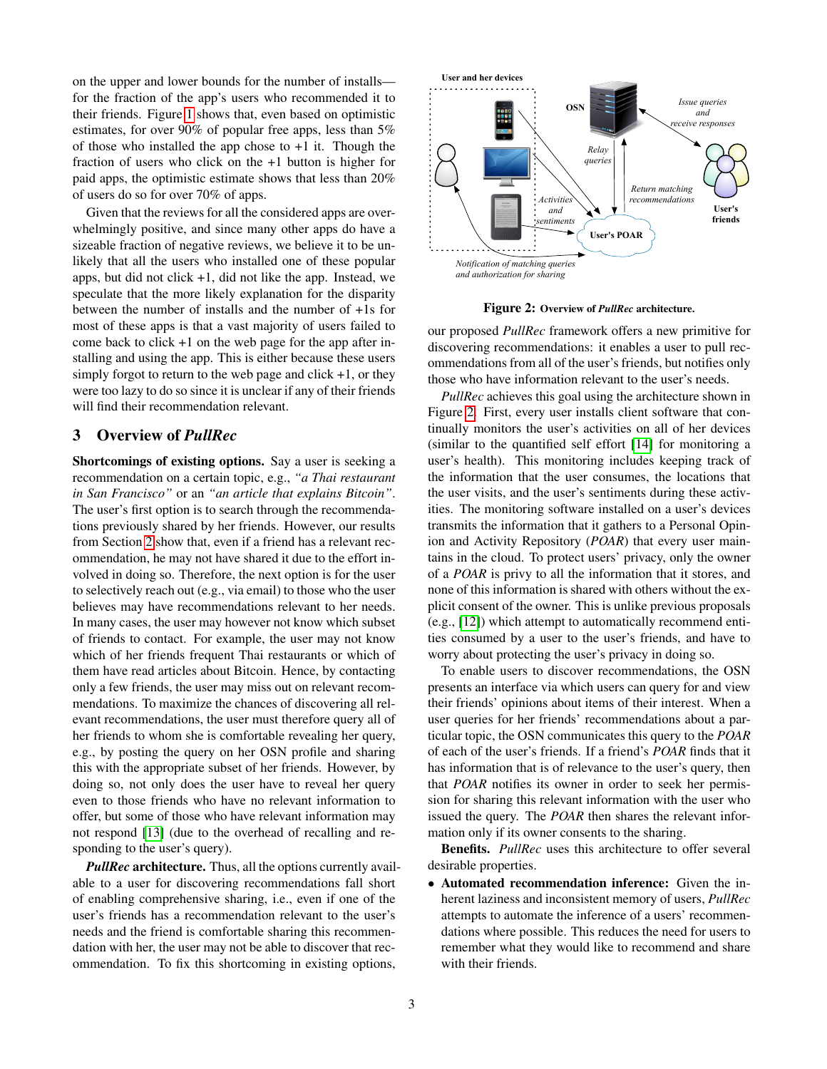on the upper and lower bounds for the number of installs for the fraction of the app's users who recommended it to their friends. Figure [1](#page-1-0) shows that, even based on optimistic estimates, for over 90% of popular free apps, less than 5% of those who installed the app chose to  $+1$  it. Though the fraction of users who click on the +1 button is higher for paid apps, the optimistic estimate shows that less than 20% of users do so for over 70% of apps.

Given that the reviews for all the considered apps are overwhelmingly positive, and since many other apps do have a sizeable fraction of negative reviews, we believe it to be unlikely that all the users who installed one of these popular apps, but did not click +1, did not like the app. Instead, we speculate that the more likely explanation for the disparity between the number of installs and the number of +1s for most of these apps is that a vast majority of users failed to come back to click +1 on the web page for the app after installing and using the app. This is either because these users simply forgot to return to the web page and click  $+1$ , or they were too lazy to do so since it is unclear if any of their friends will find their recommendation relevant.

## 3 Overview of *PullRec*

Shortcomings of existing options. Say a user is seeking a recommendation on a certain topic, e.g., *"a Thai restaurant in San Francisco"* or an *"an article that explains Bitcoin"*. The user's first option is to search through the recommendations previously shared by her friends. However, our results from Section [2](#page-1-1) show that, even if a friend has a relevant recommendation, he may not have shared it due to the effort involved in doing so. Therefore, the next option is for the user to selectively reach out (e.g., via email) to those who the user believes may have recommendations relevant to her needs. In many cases, the user may however not know which subset of friends to contact. For example, the user may not know which of her friends frequent Thai restaurants or which of them have read articles about Bitcoin. Hence, by contacting only a few friends, the user may miss out on relevant recommendations. To maximize the chances of discovering all relevant recommendations, the user must therefore query all of her friends to whom she is comfortable revealing her query, e.g., by posting the query on her OSN profile and sharing this with the appropriate subset of her friends. However, by doing so, not only does the user have to reveal her query even to those friends who have no relevant information to offer, but some of those who have relevant information may not respond [\[13\]](#page-6-3) (due to the overhead of recalling and responding to the user's query).

*PullRec* architecture. Thus, all the options currently available to a user for discovering recommendations fall short of enabling comprehensive sharing, i.e., even if one of the user's friends has a recommendation relevant to the user's needs and the friend is comfortable sharing this recommendation with her, the user may not be able to discover that recommendation. To fix this shortcoming in existing options,



<span id="page-2-0"></span>Figure 2: Overview of *PullRec* architecture.

our proposed *PullRec* framework offers a new primitive for discovering recommendations: it enables a user to pull recommendations from all of the user's friends, but notifies only those who have information relevant to the user's needs.

*PullRec* achieves this goal using the architecture shown in Figure [2.](#page-2-0) First, every user installs client software that continually monitors the user's activities on all of her devices (similar to the quantified self effort [\[14\]](#page-6-4) for monitoring a user's health). This monitoring includes keeping track of the information that the user consumes, the locations that the user visits, and the user's sentiments during these activities. The monitoring software installed on a user's devices transmits the information that it gathers to a Personal Opinion and Activity Repository (*POAR*) that every user maintains in the cloud. To protect users' privacy, only the owner of a *POAR* is privy to all the information that it stores, and none of this information is shared with others without the explicit consent of the owner. This is unlike previous proposals (e.g., [\[12\]](#page-6-5)) which attempt to automatically recommend entities consumed by a user to the user's friends, and have to worry about protecting the user's privacy in doing so.

To enable users to discover recommendations, the OSN presents an interface via which users can query for and view their friends' opinions about items of their interest. When a user queries for her friends' recommendations about a particular topic, the OSN communicates this query to the *POAR* of each of the user's friends. If a friend's *POAR* finds that it has information that is of relevance to the user's query, then that *POAR* notifies its owner in order to seek her permission for sharing this relevant information with the user who issued the query. The *POAR* then shares the relevant information only if its owner consents to the sharing.

Benefits. *PullRec* uses this architecture to offer several desirable properties.

• Automated recommendation inference: Given the inherent laziness and inconsistent memory of users, *PullRec* attempts to automate the inference of a users' recommendations where possible. This reduces the need for users to remember what they would like to recommend and share with their friends.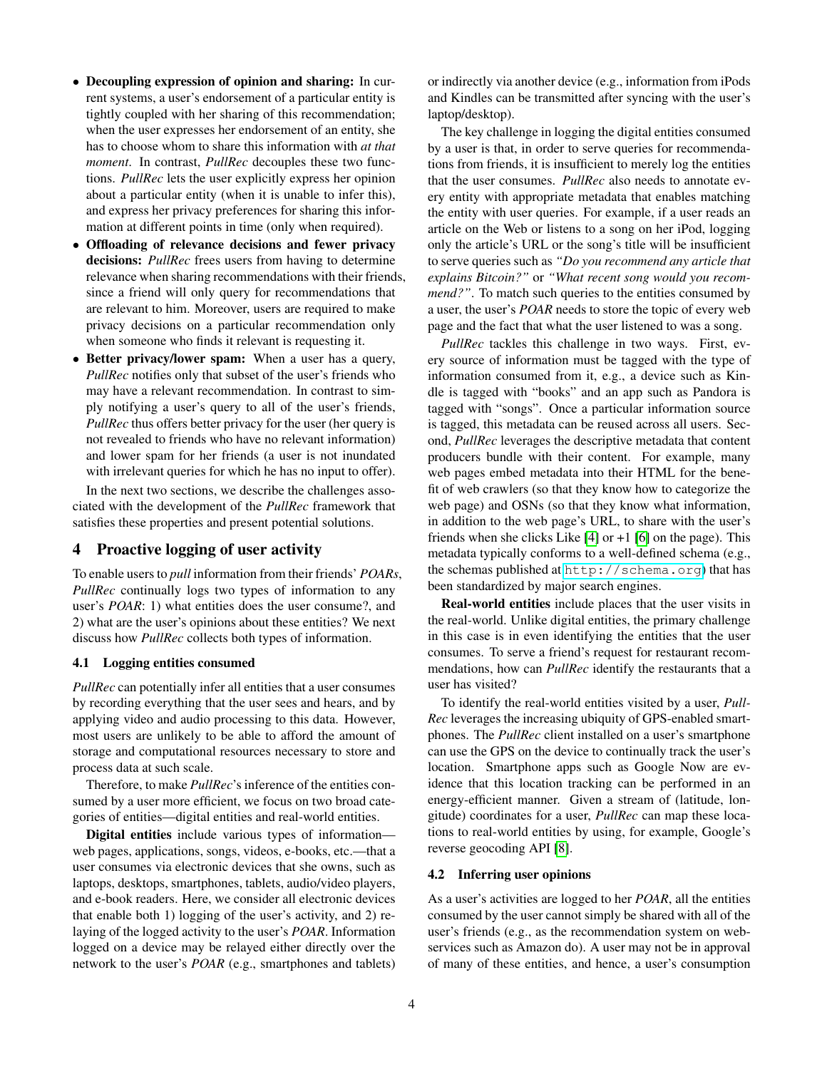- Decoupling expression of opinion and sharing: In current systems, a user's endorsement of a particular entity is tightly coupled with her sharing of this recommendation; when the user expresses her endorsement of an entity, she has to choose whom to share this information with *at that moment*. In contrast, *PullRec* decouples these two functions. *PullRec* lets the user explicitly express her opinion about a particular entity (when it is unable to infer this), and express her privacy preferences for sharing this information at different points in time (only when required).
- Offloading of relevance decisions and fewer privacy decisions: *PullRec* frees users from having to determine relevance when sharing recommendations with their friends, since a friend will only query for recommendations that are relevant to him. Moreover, users are required to make privacy decisions on a particular recommendation only when someone who finds it relevant is requesting it.
- Better privacy/lower spam: When a user has a query, *PullRec* notifies only that subset of the user's friends who may have a relevant recommendation. In contrast to simply notifying a user's query to all of the user's friends, *PullRec* thus offers better privacy for the user (her query is not revealed to friends who have no relevant information) and lower spam for her friends (a user is not inundated with irrelevant queries for which he has no input to offer).

In the next two sections, we describe the challenges associated with the development of the *PullRec* framework that satisfies these properties and present potential solutions.

# 4 Proactive logging of user activity

To enable users to *pull* information from their friends' *POARs*, *PullRec* continually logs two types of information to any user's *POAR*: 1) what entities does the user consume?, and 2) what are the user's opinions about these entities? We next discuss how *PullRec* collects both types of information.

#### 4.1 Logging entities consumed

*PullRec* can potentially infer all entities that a user consumes by recording everything that the user sees and hears, and by applying video and audio processing to this data. However, most users are unlikely to be able to afford the amount of storage and computational resources necessary to store and process data at such scale.

Therefore, to make *PullRec*'s inference of the entities consumed by a user more efficient, we focus on two broad categories of entities—digital entities and real-world entities.

Digital entities include various types of information web pages, applications, songs, videos, e-books, etc.—that a user consumes via electronic devices that she owns, such as laptops, desktops, smartphones, tablets, audio/video players, and e-book readers. Here, we consider all electronic devices that enable both 1) logging of the user's activity, and 2) relaying of the logged activity to the user's *POAR*. Information logged on a device may be relayed either directly over the network to the user's *POAR* (e.g., smartphones and tablets) or indirectly via another device (e.g., information from iPods and Kindles can be transmitted after syncing with the user's laptop/desktop).

The key challenge in logging the digital entities consumed by a user is that, in order to serve queries for recommendations from friends, it is insufficient to merely log the entities that the user consumes. *PullRec* also needs to annotate every entity with appropriate metadata that enables matching the entity with user queries. For example, if a user reads an article on the Web or listens to a song on her iPod, logging only the article's URL or the song's title will be insufficient to serve queries such as *"Do you recommend any article that explains Bitcoin?"* or *"What recent song would you recommend?"*. To match such queries to the entities consumed by a user, the user's *POAR* needs to store the topic of every web page and the fact that what the user listened to was a song.

*PullRec* tackles this challenge in two ways. First, every source of information must be tagged with the type of information consumed from it, e.g., a device such as Kindle is tagged with "books" and an app such as Pandora is tagged with "songs". Once a particular information source is tagged, this metadata can be reused across all users. Second, *PullRec* leverages the descriptive metadata that content producers bundle with their content. For example, many web pages embed metadata into their HTML for the benefit of web crawlers (so that they know how to categorize the web page) and OSNs (so that they know what information, in addition to the web page's URL, to share with the user's friends when she clicks Like  $[4]$  or  $+1$   $[6]$  on the page). This metadata typically conforms to a well-defined schema (e.g., the schemas published at <http://schema.org>) that has been standardized by major search engines.

Real-world entities include places that the user visits in the real-world. Unlike digital entities, the primary challenge in this case is in even identifying the entities that the user consumes. To serve a friend's request for restaurant recommendations, how can *PullRec* identify the restaurants that a user has visited?

To identify the real-world entities visited by a user, *Pull-Rec* leverages the increasing ubiquity of GPS-enabled smartphones. The *PullRec* client installed on a user's smartphone can use the GPS on the device to continually track the user's location. Smartphone apps such as Google Now are evidence that this location tracking can be performed in an energy-efficient manner. Given a stream of (latitude, longitude) coordinates for a user, *PullRec* can map these locations to real-world entities by using, for example, Google's reverse geocoding API [\[8\]](#page-6-8).

#### 4.2 Inferring user opinions

As a user's activities are logged to her *POAR*, all the entities consumed by the user cannot simply be shared with all of the user's friends (e.g., as the recommendation system on webservices such as Amazon do). A user may not be in approval of many of these entities, and hence, a user's consumption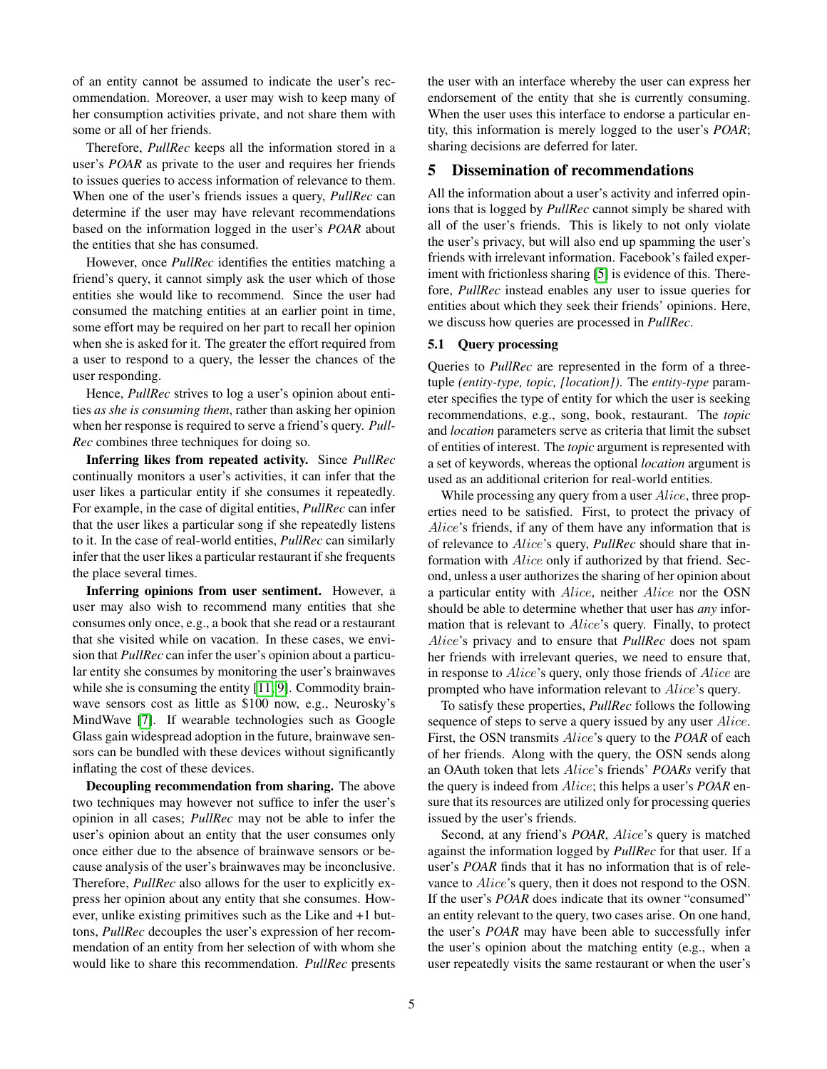of an entity cannot be assumed to indicate the user's recommendation. Moreover, a user may wish to keep many of her consumption activities private, and not share them with some or all of her friends.

Therefore, *PullRec* keeps all the information stored in a user's *POAR* as private to the user and requires her friends to issues queries to access information of relevance to them. When one of the user's friends issues a query, *PullRec* can determine if the user may have relevant recommendations based on the information logged in the user's *POAR* about the entities that she has consumed.

However, once *PullRec* identifies the entities matching a friend's query, it cannot simply ask the user which of those entities she would like to recommend. Since the user had consumed the matching entities at an earlier point in time, some effort may be required on her part to recall her opinion when she is asked for it. The greater the effort required from a user to respond to a query, the lesser the chances of the user responding.

Hence, *PullRec* strives to log a user's opinion about entities *as she is consuming them*, rather than asking her opinion when her response is required to serve a friend's query. *Pull-Rec* combines three techniques for doing so.

Inferring likes from repeated activity. Since *PullRec* continually monitors a user's activities, it can infer that the user likes a particular entity if she consumes it repeatedly. For example, in the case of digital entities, *PullRec* can infer that the user likes a particular song if she repeatedly listens to it. In the case of real-world entities, *PullRec* can similarly infer that the user likes a particular restaurant if she frequents the place several times.

Inferring opinions from user sentiment. However, a user may also wish to recommend many entities that she consumes only once, e.g., a book that she read or a restaurant that she visited while on vacation. In these cases, we envision that *PullRec* can infer the user's opinion about a particular entity she consumes by monitoring the user's brainwaves while she is consuming the entity [\[11,](#page-6-9) [9\]](#page-6-10). Commodity brainwave sensors cost as little as \$100 now, e.g., Neurosky's MindWave [\[7\]](#page-6-11). If wearable technologies such as Google Glass gain widespread adoption in the future, brainwave sensors can be bundled with these devices without significantly inflating the cost of these devices.

Decoupling recommendation from sharing. The above two techniques may however not suffice to infer the user's opinion in all cases; *PullRec* may not be able to infer the user's opinion about an entity that the user consumes only once either due to the absence of brainwave sensors or because analysis of the user's brainwaves may be inconclusive. Therefore, *PullRec* also allows for the user to explicitly express her opinion about any entity that she consumes. However, unlike existing primitives such as the Like and +1 buttons, *PullRec* decouples the user's expression of her recommendation of an entity from her selection of with whom she would like to share this recommendation. *PullRec* presents the user with an interface whereby the user can express her endorsement of the entity that she is currently consuming. When the user uses this interface to endorse a particular entity, this information is merely logged to the user's *POAR*; sharing decisions are deferred for later.

## 5 Dissemination of recommendations

All the information about a user's activity and inferred opinions that is logged by *PullRec* cannot simply be shared with all of the user's friends. This is likely to not only violate the user's privacy, but will also end up spamming the user's friends with irrelevant information. Facebook's failed experiment with frictionless sharing [\[5\]](#page-6-12) is evidence of this. Therefore, *PullRec* instead enables any user to issue queries for entities about which they seek their friends' opinions. Here, we discuss how queries are processed in *PullRec*.

#### 5.1 Query processing

Queries to *PullRec* are represented in the form of a threetuple *(entity-type, topic, [location])*. The *entity-type* parameter specifies the type of entity for which the user is seeking recommendations, e.g., song, book, restaurant. The *topic* and *location* parameters serve as criteria that limit the subset of entities of interest. The *topic* argument is represented with a set of keywords, whereas the optional *location* argument is used as an additional criterion for real-world entities.

While processing any query from a user *Alice*, three properties need to be satisfied. First, to protect the privacy of Alice's friends, if any of them have any information that is of relevance to Alice's query, *PullRec* should share that information with Alice only if authorized by that friend. Second, unless a user authorizes the sharing of her opinion about a particular entity with Alice, neither Alice nor the OSN should be able to determine whether that user has *any* information that is relevant to Alice's query. Finally, to protect Alice's privacy and to ensure that *PullRec* does not spam her friends with irrelevant queries, we need to ensure that, in response to Alice's query, only those friends of Alice are prompted who have information relevant to Alice's query.

To satisfy these properties, *PullRec* follows the following sequence of steps to serve a query issued by any user *Alice*. First, the OSN transmits Alice's query to the *POAR* of each of her friends. Along with the query, the OSN sends along an OAuth token that lets Alice's friends' *POARs* verify that the query is indeed from Alice; this helps a user's *POAR* ensure that its resources are utilized only for processing queries issued by the user's friends.

Second, at any friend's *POAR*, Alice's query is matched against the information logged by *PullRec* for that user. If a user's *POAR* finds that it has no information that is of relevance to Alice's query, then it does not respond to the OSN. If the user's *POAR* does indicate that its owner "consumed" an entity relevant to the query, two cases arise. On one hand, the user's *POAR* may have been able to successfully infer the user's opinion about the matching entity (e.g., when a user repeatedly visits the same restaurant or when the user's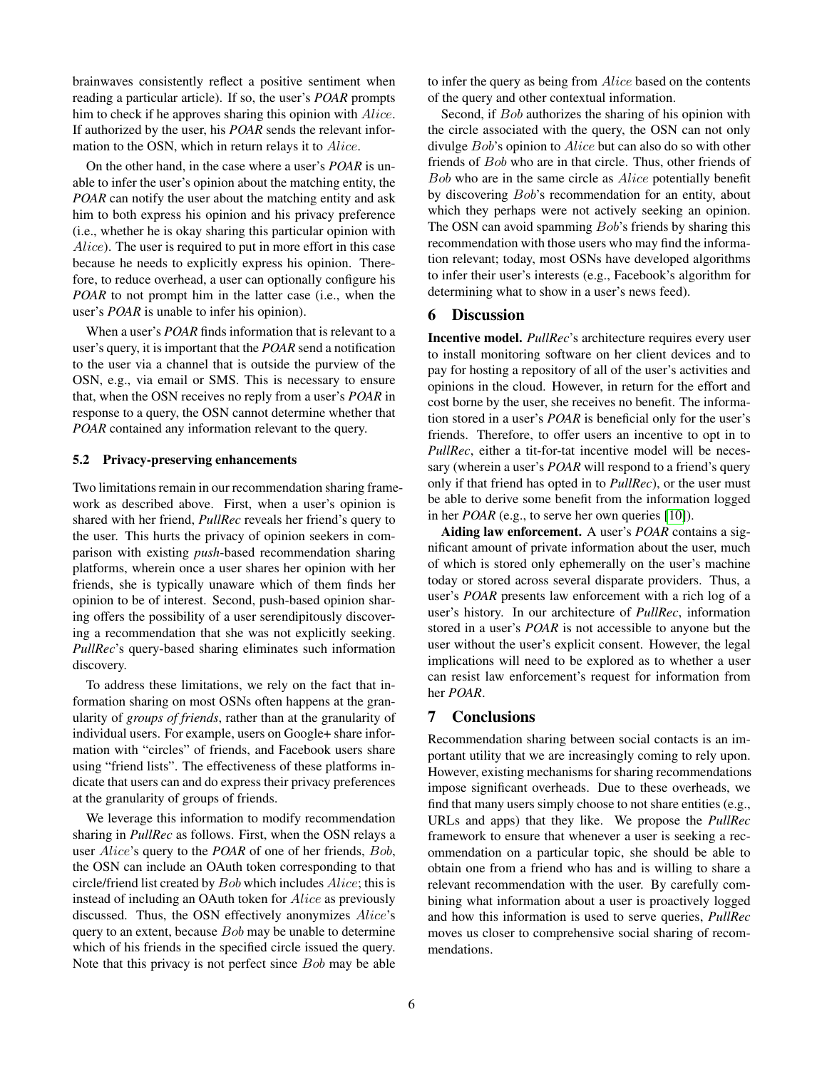brainwaves consistently reflect a positive sentiment when reading a particular article). If so, the user's *POAR* prompts him to check if he approves sharing this opinion with *Alice*. If authorized by the user, his *POAR* sends the relevant information to the OSN, which in return relays it to Alice.

On the other hand, in the case where a user's *POAR* is unable to infer the user's opinion about the matching entity, the *POAR* can notify the user about the matching entity and ask him to both express his opinion and his privacy preference (i.e., whether he is okay sharing this particular opinion with Alice). The user is required to put in more effort in this case because he needs to explicitly express his opinion. Therefore, to reduce overhead, a user can optionally configure his *POAR* to not prompt him in the latter case (i.e., when the user's *POAR* is unable to infer his opinion).

When a user's *POAR* finds information that is relevant to a user's query, it is important that the *POAR* send a notification to the user via a channel that is outside the purview of the OSN, e.g., via email or SMS. This is necessary to ensure that, when the OSN receives no reply from a user's *POAR* in response to a query, the OSN cannot determine whether that *POAR* contained any information relevant to the query.

#### 5.2 Privacy-preserving enhancements

Two limitations remain in our recommendation sharing framework as described above. First, when a user's opinion is shared with her friend, *PullRec* reveals her friend's query to the user. This hurts the privacy of opinion seekers in comparison with existing *push*-based recommendation sharing platforms, wherein once a user shares her opinion with her friends, she is typically unaware which of them finds her opinion to be of interest. Second, push-based opinion sharing offers the possibility of a user serendipitously discovering a recommendation that she was not explicitly seeking. *PullRec*'s query-based sharing eliminates such information discovery.

To address these limitations, we rely on the fact that information sharing on most OSNs often happens at the granularity of *groups of friends*, rather than at the granularity of individual users. For example, users on Google+ share information with "circles" of friends, and Facebook users share using "friend lists". The effectiveness of these platforms indicate that users can and do express their privacy preferences at the granularity of groups of friends.

We leverage this information to modify recommendation sharing in *PullRec* as follows. First, when the OSN relays a user Alice's query to the *POAR* of one of her friends, Bob, the OSN can include an OAuth token corresponding to that circle/friend list created by Bob which includes Alice; this is instead of including an OAuth token for Alice as previously discussed. Thus, the OSN effectively anonymizes Alice's query to an extent, because Bob may be unable to determine which of his friends in the specified circle issued the query. Note that this privacy is not perfect since Bob may be able

to infer the query as being from Alice based on the contents of the query and other contextual information.

Second, if Bob authorizes the sharing of his opinion with the circle associated with the query, the OSN can not only divulge Bob's opinion to Alice but can also do so with other friends of Bob who are in that circle. Thus, other friends of Bob who are in the same circle as Alice potentially benefit by discovering Bob's recommendation for an entity, about which they perhaps were not actively seeking an opinion. The OSN can avoid spamming *Bob*'s friends by sharing this recommendation with those users who may find the information relevant; today, most OSNs have developed algorithms to infer their user's interests (e.g., Facebook's algorithm for determining what to show in a user's news feed).

#### 6 Discussion

Incentive model. *PullRec*'s architecture requires every user to install monitoring software on her client devices and to pay for hosting a repository of all of the user's activities and opinions in the cloud. However, in return for the effort and cost borne by the user, she receives no benefit. The information stored in a user's *POAR* is beneficial only for the user's friends. Therefore, to offer users an incentive to opt in to *PullRec*, either a tit-for-tat incentive model will be necessary (wherein a user's *POAR* will respond to a friend's query only if that friend has opted in to *PullRec*), or the user must be able to derive some benefit from the information logged in her *POAR* (e.g., to serve her own queries [\[10\]](#page-6-13)).

Aiding law enforcement. A user's *POAR* contains a significant amount of private information about the user, much of which is stored only ephemerally on the user's machine today or stored across several disparate providers. Thus, a user's *POAR* presents law enforcement with a rich log of a user's history. In our architecture of *PullRec*, information stored in a user's *POAR* is not accessible to anyone but the user without the user's explicit consent. However, the legal implications will need to be explored as to whether a user can resist law enforcement's request for information from her *POAR*.

#### 7 Conclusions

Recommendation sharing between social contacts is an important utility that we are increasingly coming to rely upon. However, existing mechanisms for sharing recommendations impose significant overheads. Due to these overheads, we find that many users simply choose to not share entities (e.g., URLs and apps) that they like. We propose the *PullRec* framework to ensure that whenever a user is seeking a recommendation on a particular topic, she should be able to obtain one from a friend who has and is willing to share a relevant recommendation with the user. By carefully combining what information about a user is proactively logged and how this information is used to serve queries, *PullRec* moves us closer to comprehensive social sharing of recommendations.